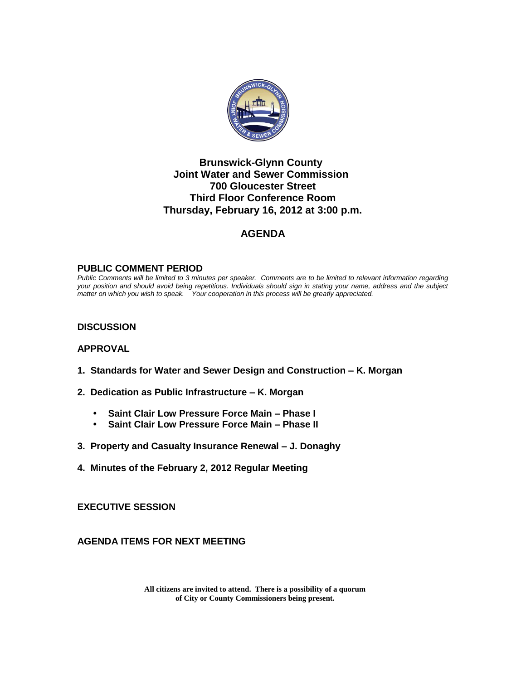

## **Brunswick-Glynn County Joint Water and Sewer Commission 700 Gloucester Street Third Floor Conference Room Thursday, February 16, 2012 at 3:00 p.m.**

## **AGENDA**

#### **PUBLIC COMMENT PERIOD**

*Public Comments will be limited to 3 minutes per speaker. Comments are to be limited to relevant information regarding your position and should avoid being repetitious. Individuals should sign in stating your name, address and the subject matter on which you wish to speak. Your cooperation in this process will be greatly appreciated.*

#### **DISCUSSION**

#### **APPROVAL**

- **1. Standards for Water and Sewer Design and Construction – K. Morgan**
- **2. Dedication as Public Infrastructure – K. Morgan**
	- **Saint Clair Low Pressure Force Main – Phase I**
	- **Saint Clair Low Pressure Force Main – Phase II**
- **3. Property and Casualty Insurance Renewal – J. Donaghy**
- **4. Minutes of the February 2, 2012 Regular Meeting**

**EXECUTIVE SESSION**

**AGENDA ITEMS FOR NEXT MEETING**

**All citizens are invited to attend. There is a possibility of a quorum of City or County Commissioners being present.**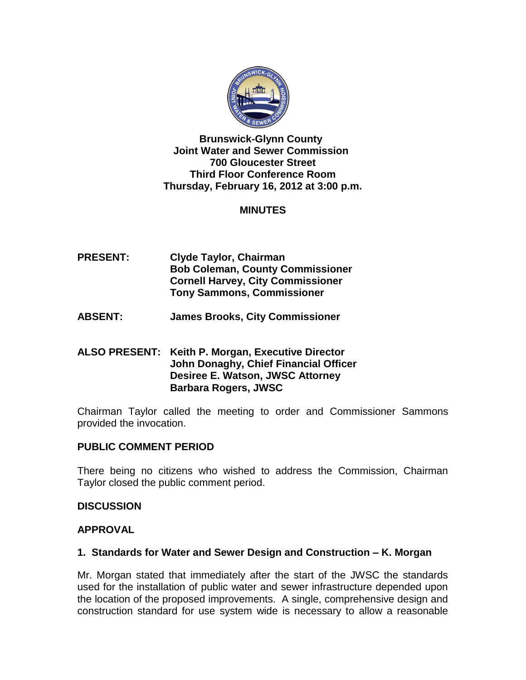

**Brunswick-Glynn County Joint Water and Sewer Commission 700 Gloucester Street Third Floor Conference Room Thursday, February 16, 2012 at 3:00 p.m.**

## **MINUTES**

- **PRESENT: Clyde Taylor, Chairman Bob Coleman, County Commissioner Cornell Harvey, City Commissioner Tony Sammons, Commissioner**
- **ABSENT: James Brooks, City Commissioner**

## **ALSO PRESENT: Keith P. Morgan, Executive Director John Donaghy, Chief Financial Officer Desiree E. Watson, JWSC Attorney Barbara Rogers, JWSC**

Chairman Taylor called the meeting to order and Commissioner Sammons provided the invocation.

### **PUBLIC COMMENT PERIOD**

There being no citizens who wished to address the Commission, Chairman Taylor closed the public comment period.

### **DISCUSSION**

## **APPROVAL**

### **1. Standards for Water and Sewer Design and Construction – K. Morgan**

Mr. Morgan stated that immediately after the start of the JWSC the standards used for the installation of public water and sewer infrastructure depended upon the location of the proposed improvements. A single, comprehensive design and construction standard for use system wide is necessary to allow a reasonable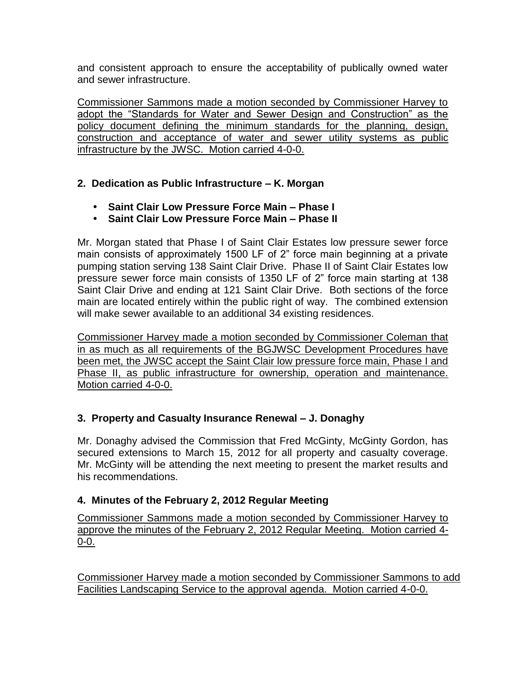and consistent approach to ensure the acceptability of publically owned water and sewer infrastructure.

Commissioner Sammons made a motion seconded by Commissioner Harvey to adopt the "Standards for Water and Sewer Design and Construction" as the policy document defining the minimum standards for the planning, design, construction and acceptance of water and sewer utility systems as public infrastructure by the JWSC. Motion carried 4-0-0.

# **2. Dedication as Public Infrastructure – K. Morgan**

- **Saint Clair Low Pressure Force Main – Phase I**
- **Saint Clair Low Pressure Force Main – Phase II**

Mr. Morgan stated that Phase I of Saint Clair Estates low pressure sewer force main consists of approximately 1500 LF of 2" force main beginning at a private pumping station serving 138 Saint Clair Drive. Phase II of Saint Clair Estates low pressure sewer force main consists of 1350 LF of 2" force main starting at 138 Saint Clair Drive and ending at 121 Saint Clair Drive. Both sections of the force main are located entirely within the public right of way. The combined extension will make sewer available to an additional 34 existing residences.

Commissioner Harvey made a motion seconded by Commissioner Coleman that in as much as all requirements of the BGJWSC Development Procedures have been met, the JWSC accept the Saint Clair low pressure force main, Phase I and Phase II, as public infrastructure for ownership, operation and maintenance. Motion carried 4-0-0.

# **3. Property and Casualty Insurance Renewal – J. Donaghy**

Mr. Donaghy advised the Commission that Fred McGinty, McGinty Gordon, has secured extensions to March 15, 2012 for all property and casualty coverage. Mr. McGinty will be attending the next meeting to present the market results and his recommendations.

# **4. Minutes of the February 2, 2012 Regular Meeting**

Commissioner Sammons made a motion seconded by Commissioner Harvey to approve the minutes of the February 2, 2012 Regular Meeting. Motion carried 4- 0-0.

Commissioner Harvey made a motion seconded by Commissioner Sammons to add Facilities Landscaping Service to the approval agenda. Motion carried 4-0-0.